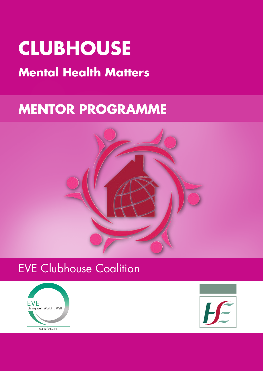# **CLUBHOUSE**

# **Mental Health Matters**

# **MENTOR PROGRAMME**



# EVE Clubhouse Coalition



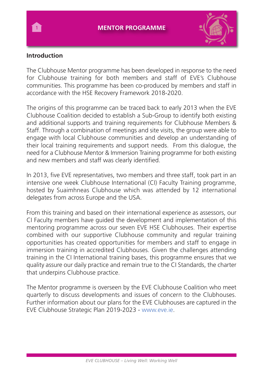

# **Introduction**

The Clubhouse Mentor programme has been developed in response to the need for Clubhouse training for both members and staff of EVE's Clubhouse communities. This programme has been co-produced by members and staff in accordance with the HSE Recovery Framework 2018-2020.

The origins of this programme can be traced back to early 2013 when the EVE Clubhouse Coalition decided to establish a Sub-Group to identify both existing and additional supports and training requirements for Clubhouse Members & Staff. Through a combination of meetings and site visits, the group were able to engage with local Clubhouse communities and develop an understanding of their local training requirements and support needs. From this dialogue, the need for a Clubhouse Mentor & Immersion Training programme for both existing and new members and staff was clearly identified.

In 2013, five EVE representatives, two members and three staff, took part in an intensive one week Clubhouse International (CI) Faculty Training programme, hosted by Suaimhneas Clubhouse which was attended by 12 international delegates from across Europe and the USA.

From this training and based on their international experience as assessors, our CI Faculty members have guided the development and implementation of this mentoring programme across our seven EVE HSE Clubhouses. Their expertise combined with our supportive Clubhouse community and regular training opportunities has created opportunities for members and staff to engage in immersion training in accredited Clubhouses. Given the challenges attending training in the CI International training bases, this programme ensures that we quality assure our daily practice and remain true to the CI Standards, the charter that underpins Clubhouse practice.

The Mentor programme is overseen by the EVE Clubhouse Coalition who meet quarterly to discuss developments and issues of concern to the Clubhouses. Further information about our plans for the EVE Clubhouses are captured in the EVE Clubhouse Strategic Plan 2019-2023 - www.eve.ie.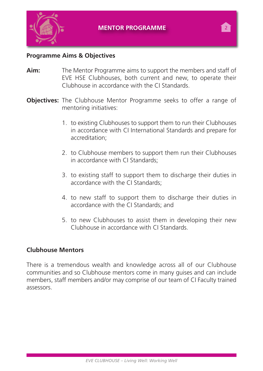

# **Programme Aims & Objectives**

- **Aim:** The Mentor Programme aims to support the members and staff of EVE HSE Clubhouses, both current and new, to operate their Clubhouse in accordance with the CI Standards.
- **Objectives:** The Clubhouse Mentor Programme seeks to offer a range of mentoring initiatives:
	- 1. to existing Clubhouses to support them to run their Clubhouses in accordance with CI International Standards and prepare for accreditation;
	- 2. to Clubhouse members to support them run their Clubhouses in accordance with CI Standards;
	- 3. to existing staff to support them to discharge their duties in accordance with the CI Standards;
	- 4. to new staff to support them to discharge their duties in accordance with the CI Standards; and
	- 5. to new Clubhouses to assist them in developing their new Clubhouse in accordance with CI Standards.

### **Clubhouse Mentors**

There is a tremendous wealth and knowledge across all of our Clubhouse communities and so Clubhouse mentors come in many guises and can include members, staff members and/or may comprise of our team of CI Faculty trained assessors.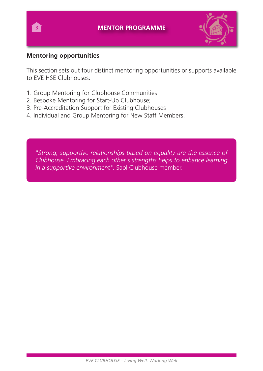

# **Mentoring opportunities**

This section sets out four distinct mentoring opportunities or supports available to EVE HSE Clubhouses:

- 1. Group Mentoring for Clubhouse Communities
- 2. Bespoke Mentoring for Start-Up Clubhouse;
- 3. Pre-Accreditation Support for Existing Clubhouses
- 4. Individual and Group Mentoring for New Staff Members.

*"Strong, supportive relationships based on equality are the essence of Clubhouse. Embracing each other's strengths helps to enhance learning in a supportive environment".* Saol Clubhouse member.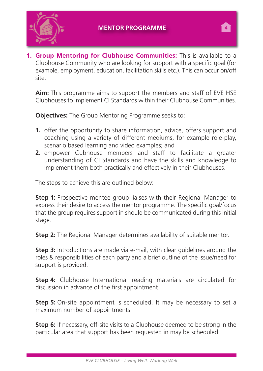



**1. Group Mentoring for Clubhouse Communities:** This is available to a Clubhouse Community who are looking for support with a specific goal (for example, employment, education, facilitation skills etc.). This can occur on/off site.

**Aim:** This programme aims to support the members and staff of EVE HSE Clubhouses to implement CI Standards within their Clubhouse Communities.

**Objectives:** The Group Mentoring Programme seeks to:

- **1.** offer the opportunity to share information, advice, offers support and coaching using a variety of different mediums, for example role-play, scenario based learning and video examples; and
- **2.** empower Cubhouse members and staff to facilitate a greater understanding of CI Standards and have the skills and knowledge to implement them both practically and effectively in their Clubhouses.

The steps to achieve this are outlined below:

**Step 1:** Prospective mentee group liaises with their Regional Manager to express their desire to access the mentor programme. The specific goal/focus that the group requires support in should be communicated during this initial stage.

**Step 2:** The Regional Manager determines availability of suitable mentor.

**Step 3:** Introductions are made via e-mail, with clear guidelines around the roles & responsibilities of each party and a brief outline of the issue/need for support is provided.

**Step 4:** Clubhouse International reading materials are circulated for discussion in advance of the first appointment.

**Step 5:** On-site appointment is scheduled. It may be necessary to set a maximum number of appointments.

**Step 6:** If necessary, off-site visits to a Clubhouse deemed to be strong in the particular area that support has been requested in may be scheduled.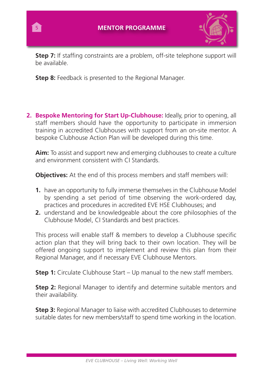

**Step 7:** If staffing constraints are a problem, off-site telephone support will be available.

**Step 8:** Feedback is presented to the Regional Manager.

 $\overline{5}$ 

**2. Bespoke Mentoring for Start Up-Clubhouse:** Ideally, prior to opening, all staff members should have the opportunity to participate in immersion training in accredited Clubhouses with support from an on-site mentor. A bespoke Clubhouse Action Plan will be developed during this time.

**Aim:** To assist and support new and emerging clubhouses to create a culture and environment consistent with CI Standards.

**Objectives:** At the end of this process members and staff members will:

- **1.** have an opportunity to fully immerse themselves in the Clubhouse Model by spending a set period of time observing the work-ordered day, practices and procedures in accredited EVE HSE Clubhouses; and
- **2.** understand and be knowledgeable about the core philosophies of the Clubhouse Model, CI Standards and best practices.

This process will enable staff & members to develop a Clubhouse specific action plan that they will bring back to their own location. They will be offered ongoing support to implement and review this plan from their Regional Manager, and if necessary EVE Clubhouse Mentors.

**Step 1:** Circulate Clubhouse Start – Up manual to the new staff members.

**Step 2:** Regional Manager to identify and determine suitable mentors and their availability.

**Step 3:** Regional Manager to liaise with accredited Clubhouses to determine suitable dates for new members/staff to spend time working in the location.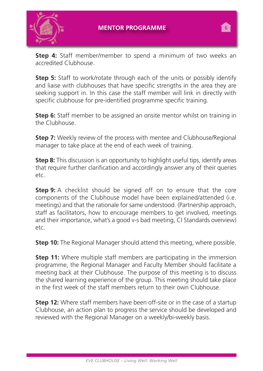

**Step 4:** Staff member/member to spend a minimum of two weeks an accredited Clubhouse.

**Step 5:** Staff to work/rotate through each of the units or possibly identify and liaise with clubhouses that have specific strengths in the area they are seeking support in. In this case the staff member will link in directly with specific clubhouse for pre-identified programme specific training.

**Step 6:** Staff member to be assigned an onsite mentor whilst on training in the Clubhouse.

**Step 7:** Weekly review of the process with mentee and Clubhouse/Regional manager to take place at the end of each week of training.

**Step 8:** This discussion is an opportunity to highlight useful tips, identify areas that require further clarification and accordingly answer any of their queries etc.

**Step 9:** A checklist should be signed off on to ensure that the core components of the Clubhouse model have been explained/attended (i.e. meetings) and that the rationale for same understood. (Partnership approach, staff as facilitators, how to encourage members to get involved, meetings and their importance, what's a good v-s bad meeting, CI Standards overview) etc.

**Step 10:** The Regional Manager should attend this meeting, where possible.

**Step 11:** Where multiple staff members are participating in the immersion programme, the Regional Manager and Faculty Member should facilitate a meeting back at their Clubhouse. The purpose of this meeting is to discuss the shared learning experience of the group. This meeting should take place in the first week of the staff members return to their own Clubhouse.

**Step 12:** Where staff members have been off-site or in the case of a startup Clubhouse, an action plan to progress the service should be developed and reviewed with the Regional Manager on a weekly/bi-weekly basis.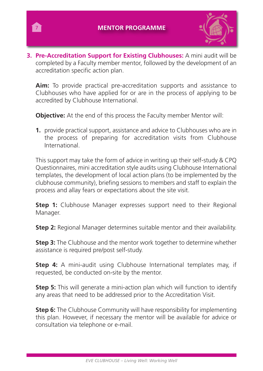$7^{\circ}$ 



**3. Pre-Accreditation Support for Existing Clubhouses:** A mini audit will be completed by a Faculty member mentor, followed by the development of an accreditation specific action plan.

**Aim:** To provide practical pre-accreditation supports and assistance to Clubhouses who have applied for or are in the process of applying to be accredited by Clubhouse International.

**Objective:** At the end of this process the Faculty member Mentor will:

**1.** provide practical support, assistance and advice to Clubhouses who are in the process of preparing for accreditation visits from Clubhouse International.

This support may take the form of advice in writing up their self-study & CPQ Questionnaires, mini accreditation style audits using Clubhouse International templates, the development of local action plans (to be implemented by the clubhouse community), briefing sessions to members and staff to explain the process and allay fears or expectations about the site visit.

**Step 1:** Clubhouse Manager expresses support need to their Regional Manager.

**Step 2:** Regional Manager determines suitable mentor and their availability.

**Step 3:** The Clubhouse and the mentor work together to determine whether assistance is required pre/post self-study.

**Step 4:** A mini-audit using Clubhouse International templates may, if requested, be conducted on-site by the mentor.

**Step 5:** This will generate a mini-action plan which will function to identify any areas that need to be addressed prior to the Accreditation Visit.

**Step 6:** The Clubhouse Community will have responsibility for implementing this plan. However, if necessary the mentor will be available for advice or consultation via telephone or e-mail.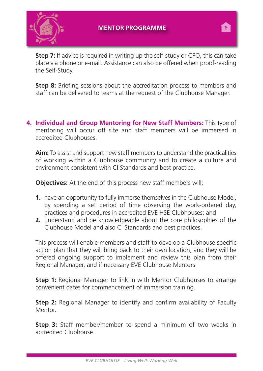

**Step 7:** If advice is required in writing up the self-study or CPQ, this can take place via phone or e-mail. Assistance can also be offered when proof-reading the Self-Study.

**Step 8:** Briefing sessions about the accreditation process to members and staff can be delivered to teams at the request of the Clubhouse Manager.

**4. Individual and Group Mentoring for New Staff Members:** This type of mentoring will occur off site and staff members will be immersed in accredited Clubhouses.

**Aim:** To assist and support new staff members to understand the practicalities of working within a Clubhouse community and to create a culture and environment consistent with CI Standards and best practice.

**Objectives:** At the end of this process new staff members will:

- **1.** have an opportunity to fully immerse themselves in the Clubhouse Model, by spending a set period of time observing the work-ordered day, practices and procedures in accredited EVE HSE Clubhouses; and
- **2.** understand and be knowledgeable about the core philosophies of the Clubhouse Model and also CI Standards and best practices.

This process will enable members and staff to develop a Clubhouse specific action plan that they will bring back to their own location, and they will be offered ongoing support to implement and review this plan from their Regional Manager, and if necessary EVE Clubhouse Mentors.

**Step 1:** Regional Manager to link in with Mentor Clubhouses to arrange convenient dates for commencement of immersion training.

**Step 2:** Regional Manager to identify and confirm availability of Faculty Mentor.

**Step 3:** Staff member/member to spend a minimum of two weeks in accredited Clubhouse.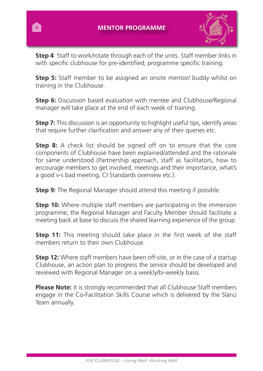

**Step 4**: Staff to work/rotate through each of the units. Staff member links in with specific clubhouse for pre-identified, programme specific training.

**Step 5:** Staff member to be assigned an onsite mentor/ buddy whilst on training in the Clubhouse.

**Step 6:** Discussion based evaluation with mentee and Clubhouse/Regional manager will take place at the end of each week of training.

**Step 7:** This discussion is an opportunity to highlight useful tips, identify areas that require further clarification and answer any of their queries etc.

**Step 8:** A check list should be signed off on to ensure that the core components of Clubhouse have been explained/attended and the rationale for same understood (Partnership approach, staff as facilitators, how to encourage members to get involved, meetings and their importance, what's a good v-s bad meeting, CI Standards overview etc.).

**Step 9:** The Regional Manager should attend this meeting if possible.

**Step 10:** Where multiple staff members are participating in the immersion programme, the Regional Manager and Faculty Member should facilitate a meeting back at base to discuss the shared learning experience of the group.

**Step 11:** This meeting should take place in the first week of the staff members return to their own Clubhouse.

**Step 12:** Where staff members have been off-site, or in the case of a startup Clubhouse, an action plan to progress the service should be developed and reviewed with Regional Manager on a weekly/bi-weekly basis.

**Please Note:** It is strongly recommended that all Clubhouse Staff members engage in the Co-Facilitation Skills Course which is delivered by the Slánú Team annually.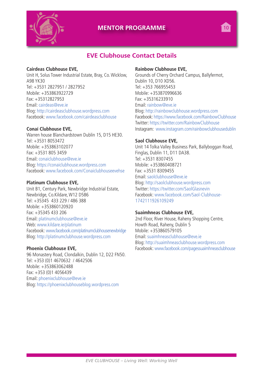

### **MENTOR PROGRAMME 10**

# **EVE Clubhouse Contact Details**

#### **Cairdeas Clubhouse EVE,**

Unit H, Solus Tower Industrial Estate, Bray, Co.Wicklow, A98 YK30 Tel: +3531 2827951 / 2827952 Mobile: +353863922729 Fax: +35312827953 Email: cairdeas@eve.ie Blog: http://cairdeasclubhouse.wordpress.com Facebook: www.facebook.com/cairdeasclubhouse

#### **Conaí Clubhouse EVE,**

Warren house Blanchardstown Dublin 15, D15 HE30. Tel: +3531 8053472 Mobile: +353863102077 Fax: +3531 805 3459 Email: conaiclubhouse@eve.ie Blog: https://conaiclubhouse.wordpress.com Facebook: www.facebook.com/Conaiclubhouseevehse

#### **Platinum Clubhouse EVE,**

Unit B1, Century Park, Newbridge Industrial Estate, Newbridge, Co.Kildare, W12 D586 Tel: +35345 433 229 / 486 388 Mobile: +353860120920 Fax: +35345 433 206 Email: platinumclubhouse@eve.ie Web: www.kildare.ie/platinum Facebook: www.facebook.com/platinumclubhousenewbridge Blog: http://platinumclubhouse.wordpress.com

#### **Phoenix Clubhouse EVE,**

96 Monastery Road, Clondalkin, Dublin 12, D22 FN50. Tel: +353 (0)1 4670632 / 4642506 Mobile: +353863062488 Fax: +353 (0)1 4056439 Email: phoenixclubhouse@eve.ie Blog: https://phoenixclubhouseblog.wordpress.com

#### **Rainbow Clubhouse EVE,**

Grounds of Cherry Orchard Campus, Ballyfermot, Dublin 10, D10 XD56. Tel: +353 766955453 Mobile: +353870996636 Fax: +35316233910 Email: rainbow@eve.ie Blog: http://rainbowclubhouse.wordpress.com Facebook: https://www.facebook.com/RainbowClubhouse Twitter: https://twitter.com/RainbowClubhouse Instagram: www.instagram.com/rainbowclubhousedublin

#### **Saol Clubhouse EVE,**

Unit 14 Tolka Valley Business Park, Ballyboggan Road, Finglas, Dublin 11, D11 DA38. Tel: +3531 8307455 Mobile: +353860408721 Fax: +3531 8309455 Email: saolclubhouse@eve.ie Blog: http://saolclubhouse.wordpress.com Twitter: https://twitter.com/SaolGlasnevin Facebook: www.facebook.com/Saol-Clubhouse-1742111926109249

### **Suaimhneas Clubhouse EVE,**

2nd Floor, River House, Raheny Shopping Centre, Howth Road, Raheny, Dublin 5 Mobile: +353860579105 Email: suaimhneasclubhouse@eve.ie Blog: http://suaimhneasclubhouse.wordpress.com Facebook: www.facebook.com/pagessuaimhneasclubhouse